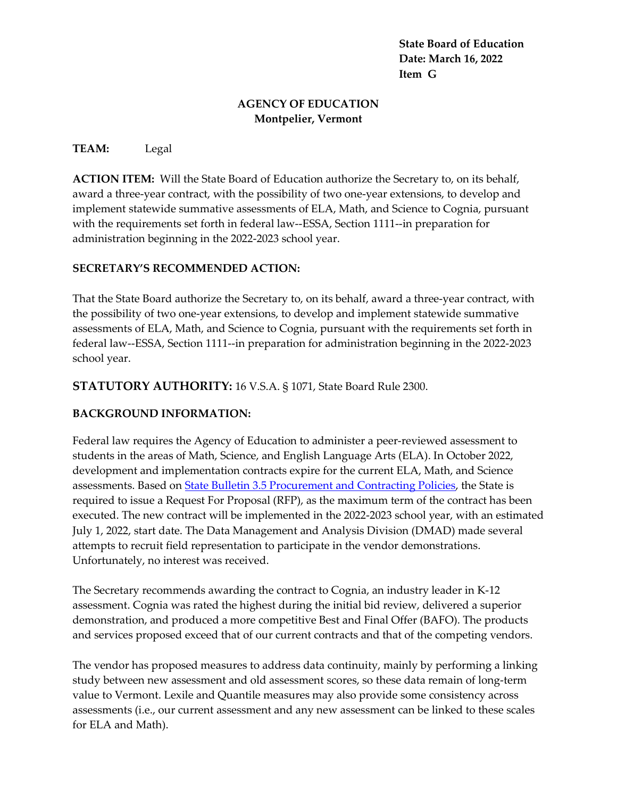**State Board of Education Date: March 16, 2022 Item G**

## **AGENCY OF EDUCATION Montpelier, Vermont**

## **TEAM:** Legal

**ACTION ITEM:** Will the State Board of Education authorize the Secretary to, on its behalf, award a three-year contract, with the possibility of two one-year extensions, to develop and implement statewide summative assessments of ELA, Math, and Science to Cognia, pursuant with the requirements set forth in federal law--ESSA, Section 1111--in preparation for administration beginning in the 2022-2023 school year.

## **SECRETARY'S RECOMMENDED ACTION:**

That the State Board authorize the Secretary to, on its behalf, award a three-year contract, with the possibility of two one-year extensions, to develop and implement statewide summative assessments of ELA, Math, and Science to Cognia, pursuant with the requirements set forth in federal law--ESSA, Section 1111--in preparation for administration beginning in the 2022-2023 school year.

**STATUTORY AUTHORITY:** 16 V.S.A. § 1071, State Board Rule 2300.

## **BACKGROUND INFORMATION:**

Federal law requires the Agency of Education to administer a peer-reviewed assessment to students in the areas of Math, Science, and English Language Arts (ELA). In October 2022, development and implementation contracts expire for the current ELA, Math, and Science assessments. Based on [State Bulletin 3.5 Procurement and Contracting Policies,](https://aoa.vermont.gov/sites/aoa/files/Bulletins/3point5/3.5Rewrite121619FINAL.pdf) the State is required to issue a Request For Proposal (RFP), as the maximum term of the contract has been executed. The new contract will be implemented in the 2022-2023 school year, with an estimated July 1, 2022, start date. The Data Management and Analysis Division (DMAD) made several attempts to recruit field representation to participate in the vendor demonstrations. Unfortunately, no interest was received.

The Secretary recommends awarding the contract to Cognia, an industry leader in K-12 assessment. Cognia was rated the highest during the initial bid review, delivered a superior demonstration, and produced a more competitive Best and Final Offer (BAFO). The products and services proposed exceed that of our current contracts and that of the competing vendors.

The vendor has proposed measures to address data continuity, mainly by performing a linking study between new assessment and old assessment scores, so these data remain of long-term value to Vermont. Lexile and Quantile measures may also provide some consistency across assessments (i.e., our current assessment and any new assessment can be linked to these scales for ELA and Math).